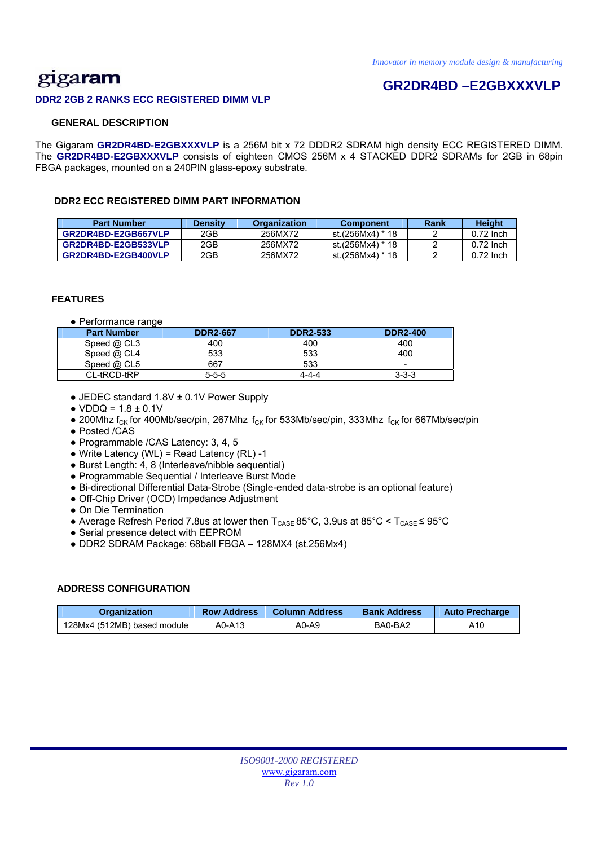## gigaram **DDR2 2GB 2 RANKS ECC REGISTERED DIMM VLP**

## **GR2DR4BD –E2GBXXXVLP**

### **GENERAL DESCRIPTION**

The Gigaram **GR2DR4BD-E2GBXXXVLP** is a 256M bit x 72 DDDR2 SDRAM high density ECC REGISTERED DIMM. The **GR2DR4BD-E2GBXXXVLP** consists of eighteen CMOS 256M x 4 STACKED DDR2 SDRAMs for 2GB in 68pin FBGA packages, mounted on a 240PIN glass-epoxy substrate.

### **DDR2 ECC REGISTERED DIMM PART INFORMATION**

| <b>Part Number</b>  | Densitv | <b>Organization</b> | <b>Component</b> | Rank | Height      |
|---------------------|---------|---------------------|------------------|------|-------------|
| GR2DR4BD-E2GB667VLP | 2GB     | 256MX72             | st.(256Mx4) * 18 |      | $0.72$ lnch |
| GR2DR4BD-E2GB533VLP | 2GB     | 256MX72             | st.(256Mx4) * 18 |      | $0.72$ lnch |
| GR2DR4BD-E2GB400VLP | 2GB     | 256MX72             | st.(256Mx4) * 18 |      | $0.72$ lnch |

### **FEATURES**

● Performance range

| <b>Part Number</b> | <b>DDR2-667</b> | <b>DDR2-533</b> | <b>DDR2-400</b>          |
|--------------------|-----------------|-----------------|--------------------------|
| Speed @ CL3        | 400             | 400             | 400                      |
| Speed @ CL4        | 533             | 533             | 400                      |
| Speed $@$ CL5      | 667             | 533             | $\overline{\phantom{a}}$ |
| CL-tRCD-tRP        | $5 - 5 - 5$     | 4-4-4           | $3 - 3 - 3$              |

- JEDEC standard 1.8V ± 0.1V Power Supply
- $\bullet$  VDDQ = 1.8  $\pm$  0.1V
- 200Mhz f<sub>CK</sub> for 400Mb/sec/pin, 267Mhz f<sub>CK</sub> for 533Mb/sec/pin, 333Mhz f<sub>CK</sub> for 667Mb/sec/pin
- Posted /CAS
- Programmable /CAS Latency: 3, 4, 5
- $\bullet$  Write Latency (WL) = Read Latency (RL) -1
- Burst Length: 4, 8 (Interleave/nibble sequential)
- Programmable Sequential / Interleave Burst Mode
- Bi-directional Differential Data-Strobe (Single-ended data-strobe is an optional feature)
- Off-Chip Driver (OCD) Impedance Adjustment
- On Die Termination
- Average Refresh Period 7.8us at lower then  $T_{\text{CASE}}$  85°C, 3.9us at 85°C <  $T_{\text{CASE}}$  ≤ 95°C
- Serial presence detect with EEPROM
- DDR2 SDRAM Package: 68ball FBGA 128MX4 (st.256Mx4)

### **ADDRESS CONFIGURATION**

| <b>Organization</b>         | <b>Row Address</b> | <b>Column Address</b> | <b>Bank Address</b> | <b>Auto Precharge</b> |
|-----------------------------|--------------------|-----------------------|---------------------|-----------------------|
| 128Mx4 (512MB) based module | A0-A13             | A0-A9                 | BA0-BA2             | A10                   |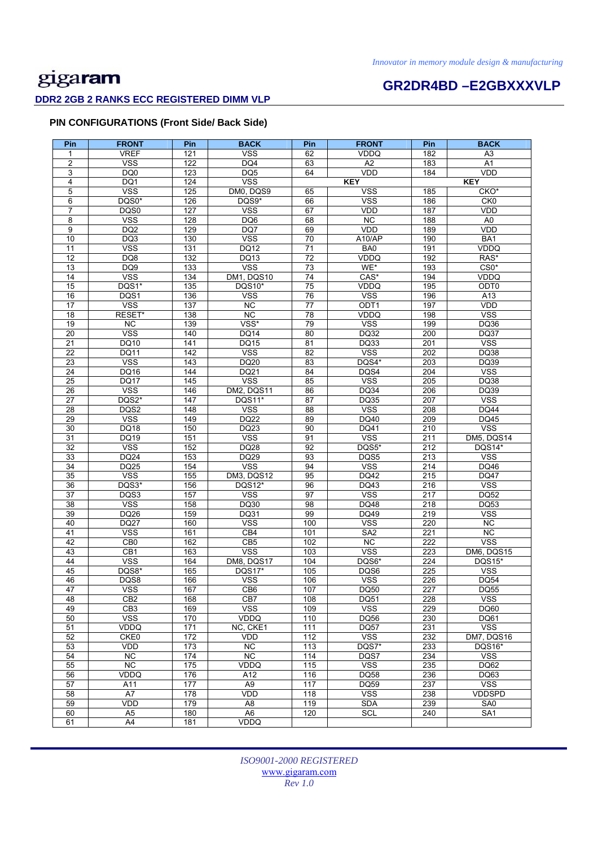# **GR2DR4BD –E2GBXXXVLP**

### **DDR2 2GB 2 RANKS ECC REGISTERED DIMM VLP**

### **PIN CONFIGURATIONS (Front Side/ Back Side)**

| Pin             | <b>FRONT</b>                   | Pin        | <b>BACK</b>           | Pin             | <b>FRONT</b>       | Pin              | <b>BACK</b>                            |
|-----------------|--------------------------------|------------|-----------------------|-----------------|--------------------|------------------|----------------------------------------|
| 1               | <b>VREF</b>                    | 121        | <b>VSS</b>            | 62              | VDDQ               | 182              | A3                                     |
| $\overline{2}$  | <b>VSS</b>                     | 122        | DQ4                   | 63              | A2                 | 183              | $\overline{A1}$                        |
| 3               | DQ0                            | 123        | DQ <sub>5</sub>       | 64              | <b>VDD</b>         | 184              | <b>VDD</b>                             |
| 4               | DQ1                            | 124        | <b>VSS</b>            |                 | <b>KEY</b>         |                  | <b>KEY</b>                             |
| 5               | <b>VSS</b>                     | 125        | DM0, DQS9             | 65              | <b>VSS</b>         | 185              | CKO*                                   |
| 6               | DQS0*                          | 126        | DQS9*                 | 66              | <b>VSS</b>         | 186              | CKO                                    |
| $\overline{7}$  | DQS0                           | 127        | <b>VSS</b>            | 67              | VDD                | 187              | <b>VDD</b>                             |
| 8               | <b>VSS</b>                     | 128        | DQ6                   | 68              | $\overline{NC}$    | 188              | A <sub>0</sub>                         |
| 9               | DQ <sub>2</sub>                | 129        | DQ7                   | 69              | <b>VDD</b>         | 189              | <b>VDD</b>                             |
| 10              | DQ3                            | 130        | <b>VSS</b>            | 70              | A10/AP             | 190              | BA1                                    |
| 11              | <b>VSS</b>                     | 131        | <b>DQ12</b>           | 71              | BA0                | 191              | <b>VDDQ</b>                            |
| $\overline{12}$ | DQ8                            | 132        | DQ13                  | 72              | <b>VDDQ</b>        | 192              | RAS*                                   |
| 13              | DQ <sub>9</sub>                | 133        | <b>VSS</b>            | 73              | WE*                | 193              | $CS0*$                                 |
| 14              | <b>VSS</b>                     | 134        | DM1, DQS10            | 74              | CAS*               | 194              | <b>VDDQ</b>                            |
| 15<br>16        | DQS1*<br>DQS1                  | 135        | DQS10*<br><b>VSS</b>  | 75<br>76        | VDDQ<br><b>VSS</b> | 195<br>196       | ODT0                                   |
| 17              | <b>VSS</b>                     | 136<br>137 | NC                    | 77              | ODT1               | 197              | A13<br><b>VDD</b>                      |
| 18              | RESET*                         | 138        | <b>NC</b>             | 78              | <b>VDDQ</b>        | 198              | <b>VSS</b>                             |
| 19              | NC.                            | 139        | VSS*                  | 79              | <b>VSS</b>         | 199              | <b>DQ36</b>                            |
| $\overline{20}$ | <b>VSS</b>                     | 140        | DQ14                  | 80              | DQ32               | 200              | <b>DQ37</b>                            |
| 21              | DQ10                           | 141        | DQ15                  | 81              | DQ33               | 201              | <b>VSS</b>                             |
| 22              | <b>DQ11</b>                    | 142        | <b>VSS</b>            | 82              | <b>VSS</b>         | 202              | DQ38                                   |
| 23              | <b>VSS</b>                     | 143        | DQ20                  | 83              | DQS4*              | 203              | DQ39                                   |
| 24              | DQ16                           | 144        | DQ21                  | 84              | DQS4               | 204              | <b>VSS</b>                             |
| $\overline{25}$ | <b>DQ17</b>                    | 145        | <b>VSS</b>            | 85              | <b>VSS</b>         | 205              | <b>DQ38</b>                            |
| 26              | <b>VSS</b>                     | 146        | DM2, DQS11            | 86              | <b>DQ34</b>        | 206              | DQ39                                   |
| $\overline{27}$ | DQS2*                          | 147        | DQS11*                | 87              | DQ35               | 207              | <b>VSS</b>                             |
| 28              | DQS2                           | 148        | <b>VSS</b>            | 88              | <b>VSS</b>         | 208              | <b>DQ44</b>                            |
| 29              | <b>VSS</b>                     | 149        | <b>DQ22</b>           | 89              | DQ40               | 209              | DQ45                                   |
| 30              | <b>DQ18</b>                    | 150        | DQ23                  | 90              | DQ41               | 210              | <b>VSS</b>                             |
| 31              | DQ19                           | 151        | <b>VSS</b>            | 91              | <b>VSS</b>         | 211              | DM5, DQS14                             |
| $\overline{32}$ | <b>VSS</b>                     | 152        | <b>DQ28</b>           | $\overline{92}$ | DQS5*              | 212              | DQS14*                                 |
| 33              | DQ24                           | 153        | DQ29                  | 93              | DQS5               | 213              | <b>VSS</b>                             |
| $\overline{34}$ | <b>DQ25</b>                    | 154        | <b>VSS</b>            | 94              | <b>VSS</b>         | 214              | DQ46                                   |
| 35<br>36        | <b>VSS</b><br>DQS3*            | 155<br>156 | DM3, DQS12<br>DQS12*  | 95<br>96        | DQ42<br>DQ43       | 215<br>216       | <b>DQ47</b><br>$\overline{\text{VSS}}$ |
| 37              | DQS3                           | 157        | <b>VSS</b>            | 97              | <b>VSS</b>         | $\overline{217}$ | <b>DQ52</b>                            |
| 38              | <b>VSS</b>                     | 158        | DQ30                  | 98              | DQ48               | 218              | DQ53                                   |
| 39              | DQ26                           | 159        | DQ31                  | 99              | DQ49               | 219              | <b>VSS</b>                             |
| 40              | <b>DQ27</b>                    | 160        | <b>VSS</b>            | 100             | <b>VSS</b>         | 220              | NC.                                    |
| 41              | <b>VSS</b>                     | 161        | CB4                   | 101             | SA <sub>2</sub>    | 221              | <b>NC</b>                              |
| 42              | CB <sub>0</sub>                | 162        | CB <sub>5</sub>       | 102             | NC                 | 222              | <b>VSS</b>                             |
| 43              | CB1                            | 163        | <b>VSS</b>            | 103             | <b>VSS</b>         | 223              | DM6, DQS15                             |
| 44              | <b>VSS</b>                     | 164        | DM8, DQS17            | 104             | DQS6*              | 224              | <b>DQS15*</b>                          |
| 45              | DQS8*                          | 165        | DQS17*                | 105             | DQS6               | 225              | <b>VSS</b>                             |
| 46              | DQS8                           | 166        | <b>VSS</b>            | 106             | <b>VSS</b>         | 226              | <b>DQ54</b>                            |
| 47              | vss                            | 167        | CB <sub>6</sub>       | 107             | DQ50               | 227              | <b>DQ55</b>                            |
| 48              | CB <sub>2</sub>                | 168        | CB7                   | 108             | DQ51               | 228              | <b>VSS</b>                             |
| 49              | CB <sub>3</sub>                | 169        | <b>VSS</b>            | 109             | <b>VSS</b>         | 229              | DQ60                                   |
| 50              | <b>VSS</b>                     | 170        | VDDQ                  | 110             | DQ56               | 230              | DQ61                                   |
| 51              | VDDQ                           | 171        | NC, CKE1              | 111             | <b>DQ57</b>        | 231              | $\overline{\text{VSS}}$                |
| 52              | CKE0                           | 172        | <b>VDD</b>            | 112             | <b>VSS</b>         | 232              | DM7, DQS16                             |
| 53              | VDD                            | 173        | NC                    | 113             | DQS7*              | 233              | <b>DQS16*</b>                          |
| 54<br>55        | NC.                            | 174        | <b>NC</b>             | 114             | DQS7               | 234              | <b>VSS</b>                             |
|                 | $\overline{NC}$<br><b>VDDQ</b> | 175<br>176 | VDDQ                  | 115             | <b>VSS</b>         | 235              | DQ62                                   |
| 56<br>57        | A11                            | 177        | A12<br>A <sub>9</sub> | 116<br>117      | DQ58<br>DQ59       | 236<br>237       | DQ63<br>$\overline{\text{VSS}}$        |
| 58              | A7                             | 178        | VDD                   | 118             | <b>VSS</b>         | 238              | <b>VDDSPD</b>                          |
| 59              | VDD                            | 179        | A8                    | 119             | <b>SDA</b>         | 239              | SA <sub>0</sub>                        |
| 60              | A <sub>5</sub>                 | 180        | A <sub>6</sub>        | 120             | <b>SCL</b>         | 240              | SA <sub>1</sub>                        |
| 61              | A4                             | 181        | VDDQ                  |                 |                    |                  |                                        |
|                 |                                |            |                       |                 |                    |                  |                                        |

*ISO9001-2000 REGISTERED*  www.gigaram.com *Rev 1.0*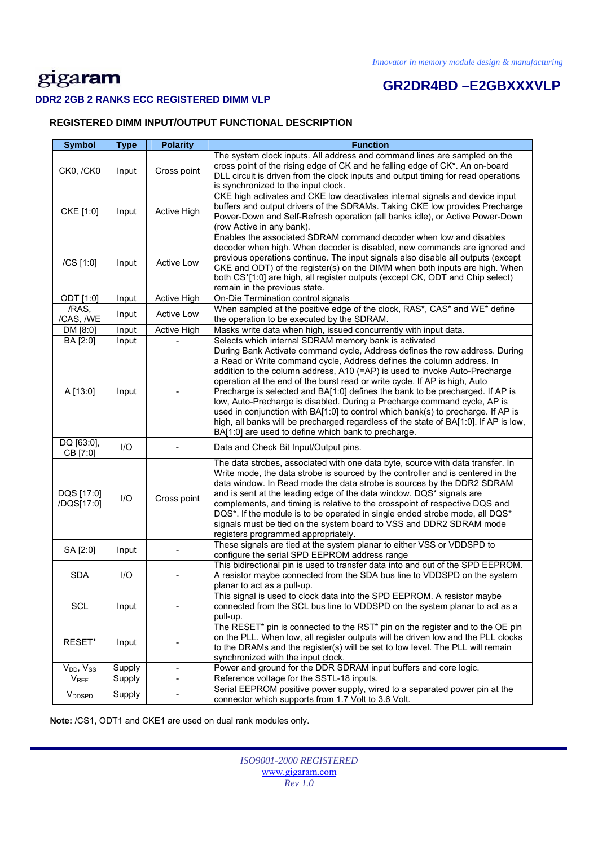# **GR2DR4BD –E2GBXXXVLP**

### **DDR2 2GB 2 RANKS ECC REGISTERED DIMM VLP**

### **REGISTERED DIMM INPUT/OUTPUT FUNCTIONAL DESCRIPTION**

| <b>Symbol</b>            | <b>Type</b> | <b>Polarity</b>              | <b>Function</b>                                                                                                                                                                                                                                                                                                                                                                                                                                                                                                                                                                                                                                                                                                  |
|--------------------------|-------------|------------------------------|------------------------------------------------------------------------------------------------------------------------------------------------------------------------------------------------------------------------------------------------------------------------------------------------------------------------------------------------------------------------------------------------------------------------------------------------------------------------------------------------------------------------------------------------------------------------------------------------------------------------------------------------------------------------------------------------------------------|
| CK0, /CK0                | Input       | Cross point                  | The system clock inputs. All address and command lines are sampled on the<br>cross point of the rising edge of CK and he falling edge of CK*. An on-board<br>DLL circuit is driven from the clock inputs and output timing for read operations<br>is synchronized to the input clock.                                                                                                                                                                                                                                                                                                                                                                                                                            |
| CKE [1:0]                | Input       | Active High                  | CKE high activates and CKE low deactivates internal signals and device input<br>buffers and output drivers of the SDRAMs. Taking CKE low provides Precharge<br>Power-Down and Self-Refresh operation (all banks idle), or Active Power-Down<br>(row Active in any bank).                                                                                                                                                                                                                                                                                                                                                                                                                                         |
| /CS [1:0]                | Input       | Active Low                   | Enables the associated SDRAM command decoder when low and disables<br>decoder when high. When decoder is disabled, new commands are ignored and<br>previous operations continue. The input signals also disable all outputs (except<br>CKE and ODT) of the register(s) on the DIMM when both inputs are high. When<br>both CS*[1:0] are high, all register outputs (except CK, ODT and Chip select)<br>remain in the previous state.                                                                                                                                                                                                                                                                             |
| ODT [1:0]                | Input       | Active High                  | On-Die Termination control signals                                                                                                                                                                                                                                                                                                                                                                                                                                                                                                                                                                                                                                                                               |
| /RAS,<br>/CAS, /WE       | Input       | <b>Active Low</b>            | When sampled at the positive edge of the clock, RAS*, CAS* and WE* define<br>the operation to be executed by the SDRAM.                                                                                                                                                                                                                                                                                                                                                                                                                                                                                                                                                                                          |
| DM [8:0]                 | Input       | Active High                  | Masks write data when high, issued concurrently with input data.                                                                                                                                                                                                                                                                                                                                                                                                                                                                                                                                                                                                                                                 |
| BA [2:0]                 | Input       |                              | Selects which internal SDRAM memory bank is activated                                                                                                                                                                                                                                                                                                                                                                                                                                                                                                                                                                                                                                                            |
| A [13:0]                 | Input       |                              | During Bank Activate command cycle, Address defines the row address. During<br>a Read or Write command cycle, Address defines the column address. In<br>addition to the column address, A10 (=AP) is used to invoke Auto-Precharge<br>operation at the end of the burst read or write cycle. If AP is high, Auto<br>Precharge is selected and BA[1:0] defines the bank to be precharged. If AP is<br>low, Auto-Precharge is disabled. During a Precharge command cycle, AP is<br>used in conjunction with BA[1:0] to control which bank(s) to precharge. If AP is<br>high, all banks will be precharged regardless of the state of BA[1:0]. If AP is low,<br>BA[1:0] are used to define which bank to precharge. |
| DQ [63:0],<br>CB [7:0]   | $II$        |                              | Data and Check Bit Input/Output pins.                                                                                                                                                                                                                                                                                                                                                                                                                                                                                                                                                                                                                                                                            |
| DQS [17:0]<br>/DQS[17:0] | $UO$        | Cross point                  | The data strobes, associated with one data byte, source with data transfer. In<br>Write mode, the data strobe is sourced by the controller and is centered in the<br>data window. In Read mode the data strobe is sources by the DDR2 SDRAM<br>and is sent at the leading edge of the data window. DQS* signals are<br>complements, and timing is relative to the crosspoint of respective DQS and<br>DQS*. If the module is to be operated in single ended strobe mode, all DQS*<br>signals must be tied on the system board to VSS and DDR2 SDRAM mode<br>registers programmed appropriately.                                                                                                                  |
| SA [2:0]                 | Input       |                              | These signals are tied at the system planar to either VSS or VDDSPD to<br>configure the serial SPD EEPROM address range                                                                                                                                                                                                                                                                                                                                                                                                                                                                                                                                                                                          |
| <b>SDA</b>               | I/O         |                              | This bidirectional pin is used to transfer data into and out of the SPD EEPROM.<br>A resistor maybe connected from the SDA bus line to VDDSPD on the system<br>planar to act as a pull-up.                                                                                                                                                                                                                                                                                                                                                                                                                                                                                                                       |
| SCL                      | Input       |                              | This signal is used to clock data into the SPD EEPROM. A resistor maybe<br>connected from the SCL bus line to VDDSPD on the system planar to act as a<br>pull-up.                                                                                                                                                                                                                                                                                                                                                                                                                                                                                                                                                |
| RESET*                   | Input       |                              | The RESET* pin is connected to the RST* pin on the register and to the OE pin<br>on the PLL. When low, all register outputs will be driven low and the PLL clocks<br>to the DRAMs and the register(s) will be set to low level. The PLL will remain<br>synchronized with the input clock.                                                                                                                                                                                                                                                                                                                                                                                                                        |
| $V_{DD}$ , $V_{SS}$      | Supply      | $\blacksquare$               | Power and ground for the DDR SDRAM input buffers and core logic.                                                                                                                                                                                                                                                                                                                                                                                                                                                                                                                                                                                                                                                 |
| <b>VREF</b>              | Supply      | $\qquad \qquad \blacksquare$ | Reference voltage for the SSTL-18 inputs.                                                                                                                                                                                                                                                                                                                                                                                                                                                                                                                                                                                                                                                                        |
| V <sub>DDSPD</sub>       | Supply      |                              | Serial EEPROM positive power supply, wired to a separated power pin at the<br>connector which supports from 1.7 Volt to 3.6 Volt.                                                                                                                                                                                                                                                                                                                                                                                                                                                                                                                                                                                |

 **Note:** /CS1, ODT1 and CKE1 are used on dual rank modules only.

| <b>ISO9001-2000 REGISTERED</b> |
|--------------------------------|
| www.gigaram.com                |
| Rev 1.0                        |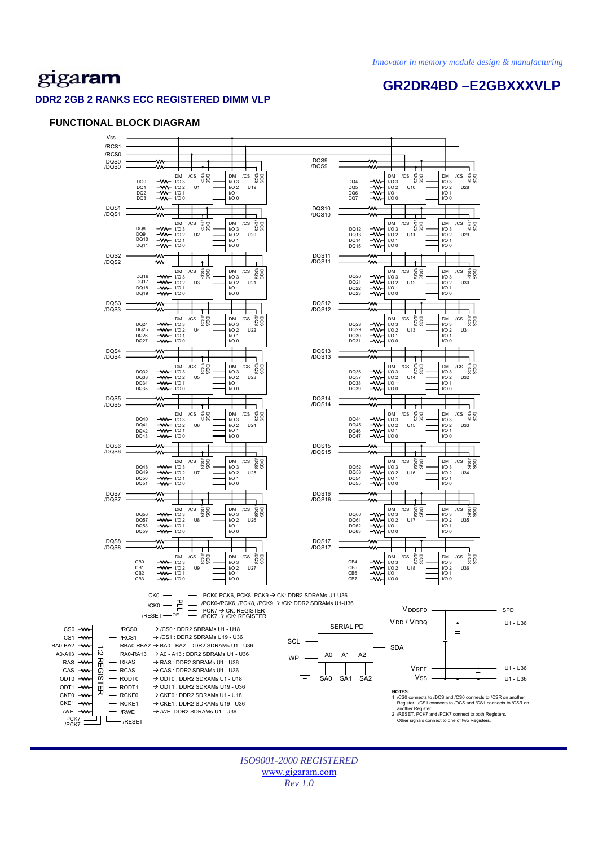**GR2DR4BD –E2GBXXXVLP** 

## gigaram

### **DDR2 2GB 2 RANKS ECC REGISTERED DIMM VLP**

### **FUNCTIONAL BLOCK DIAGRAM**



*ISO9001-2000 REGISTERED*  www.gigaram.com *Rev 1.0*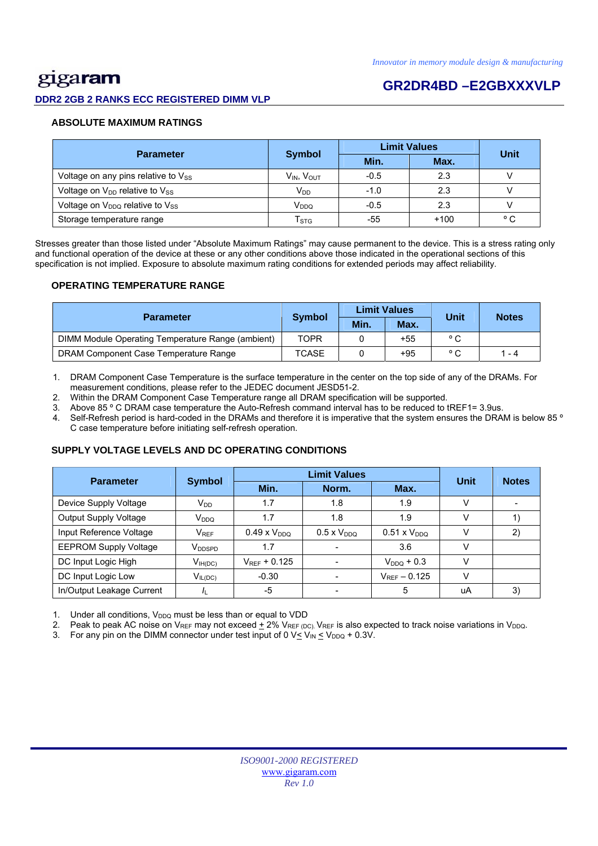# gigaram

### **GR2DR4BD –E2GBXXXVLP**

**DDR2 2GB 2 RANKS ECC REGISTERED DIMM VLP** 

### **ABSOLUTE MAXIMUM RATINGS**

|                                             |                             | <b>Limit Values</b> | Unit   |              |
|---------------------------------------------|-----------------------------|---------------------|--------|--------------|
| <b>Parameter</b>                            | <b>Symbol</b>               | Min.                | Max.   |              |
| Voltage on any pins relative to Vss         | V <sub>IN</sub> , VOUT      | $-0.5$              | 2.3    |              |
| Voltage on $V_{DD}$ relative to $V_{SS}$    | $V_{DD}$                    | $-1.0$              | 2.3    |              |
| Voltage on V <sub>DDQ</sub> relative to Vss | V <sub>DDQ</sub>            | $-0.5$              | 2.3    |              |
| Storage temperature range                   | $\mathsf{T}_{\texttt{STG}}$ | -55                 | $+100$ | $^{\circ}$ C |

Stresses greater than those listed under "Absolute Maximum Ratings" may cause permanent to the device. This is a stress rating only and functional operation of the device at these or any other conditions above those indicated in the operational sections of this specification is not implied. Exposure to absolute maximum rating conditions for extended periods may affect reliability.

### **OPERATING TEMPERATURE RANGE**

| <b>Parameter</b>                                  |               |      | <b>Limit Values</b> | Unit           | <b>Notes</b> |
|---------------------------------------------------|---------------|------|---------------------|----------------|--------------|
|                                                   | <b>Symbol</b> | Min. | Max.                |                |              |
| DIMM Module Operating Temperature Range (ambient) | TOPR          |      | $+55$               | $^{\circ}$ C   |              |
| DRAM Component Case Temperature Range             | <b>TCASE</b>  |      | $+95$               | $\circ$ $\sim$ | $1 - 4$      |

1. DRAM Component Case Temperature is the surface temperature in the center on the top side of any of the DRAMs. For measurement conditions, please refer to the JEDEC document JESD51-2.

2. Within the DRAM Component Case Temperature range all DRAM specification will be supported.

3. Above 85 º C DRAM case temperature the Auto-Refresh command interval has to be reduced to tREF1= 3.9us.

4. Self-Refresh period is hard-coded in the DRAMs and therefore it is imperative that the system ensures the DRAM is below 85 ° C case temperature before initiating self-refresh operation.

### **SUPPLY VOLTAGE LEVELS AND DC OPERATING CONDITIONS**

| <b>Parameter</b>             | <b>Symbol</b>      |                       | Unit                 | <b>Notes</b>       |               |    |
|------------------------------|--------------------|-----------------------|----------------------|--------------------|---------------|----|
|                              |                    | Min.                  | Norm.                | Max.               |               |    |
| Device Supply Voltage        | $V_{DD}$           | 1.7                   | 1.8                  | 1.9                |               |    |
| <b>Output Supply Voltage</b> | V <sub>DDQ</sub>   | 1.7                   | 1.8                  | 1.9                |               |    |
| Input Reference Voltage      | $V_{REF}$          | $0.49 \times V_{DDO}$ | $0.5 \times V_{DDO}$ | $0.51 \times VDDO$ |               | 2) |
| <b>EEPROM Supply Voltage</b> | V <sub>DDSPD</sub> | 1.7                   |                      | 3.6                |               |    |
| DC Input Logic High          | $V_{IH(DC)}$       | $V_{RFF}$ + 0.125     |                      | $V_{DDO}$ + 0.3    |               |    |
| DC Input Logic Low           | $V_{IL(DC)}$       | $-0.30$               |                      | $V_{REF}$ - 0.125  | $\mathcal{U}$ |    |
| In/Output Leakage Current    |                    | -5                    |                      | 5                  | uA            | 3) |

1. Under all conditions,  $V_{DDQ}$  must be less than or equal to VDD

2. Peak to peak AC noise on V<sub>REF</sub> may not exceed  $\pm$  2% V<sub>REF (DC)</sub>. V<sub>REF</sub> is also expected to track noise variations in V<sub>DDQ</sub>.

3. For any pin on the DIMM connector under test input of 0  $V \leq V_{IN} \leq V_{DDQ} + 0.3V$ .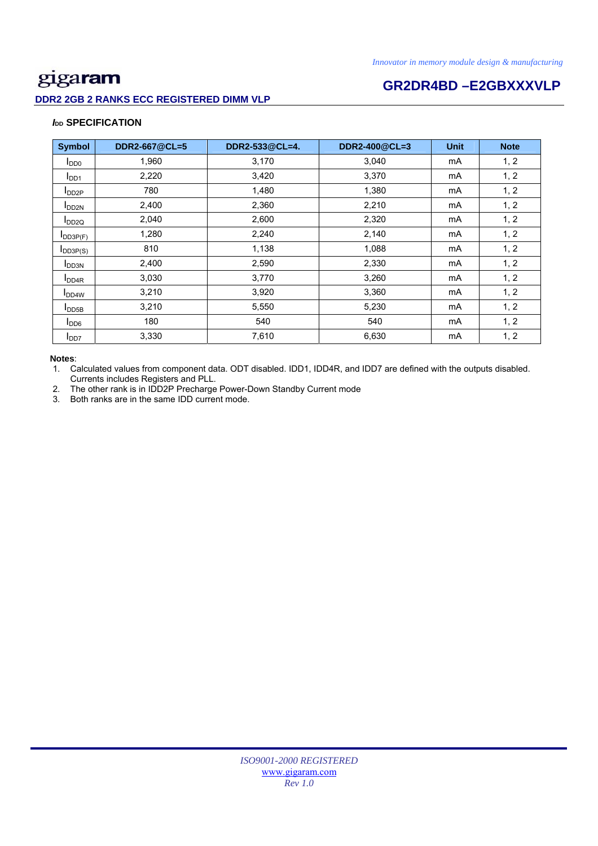### **DDR2 2GB 2 RANKS ECC REGISTERED DIMM VLP**

# **GR2DR4BD –E2GBXXXVLP**

### *I***<sub>DD</sub> SPECIFICATION**

| <b>Symbol</b>             | DDR2-667@CL=5 | DDR2-533@CL=4. | DDR2-400@CL=3 | <b>Unit</b> | <b>Note</b> |
|---------------------------|---------------|----------------|---------------|-------------|-------------|
| $I_{DD0}$                 | 1,960         | 3,170          | 3,040         | mA          | 1, 2        |
| I <sub>DD1</sub>          | 2,220         | 3,420          | 3,370         | mA          | 1, 2        |
| $I_{DD2P}$                | 780           | 1,480          | 1,380         | mA          | 1, 2        |
| <b>I</b> DD <sub>2N</sub> | 2,400         | 2,360          | 2,210         | mA          | 1, 2        |
| $I_{DD2Q}$                | 2,040         | 2,600          | 2,320         | mA          | 1, 2        |
| $I_{DD3P(F)}$             | 1,280         | 2,240          | 2,140         | mA          | 1, 2        |
| $I_{DD3P(S)}$             | 810           | 1,138          | 1,088         | mA          | 1, 2        |
| <b>I</b> DD3N             | 2,400         | 2,590          | 2,330         | mA          | 1, 2        |
| <b>I</b> DD4R             | 3,030         | 3,770          | 3,260         | mA          | 1, 2        |
| I <sub>DD4W</sub>         | 3,210         | 3,920          | 3,360         | mA          | 1, 2        |
| $I_{\text{DDB}}$          | 3,210         | 5,550          | 5,230         | mA          | 1, 2        |
| I <sub>DD6</sub>          | 180           | 540            | 540           | mA          | 1, 2        |
| I <sub>DD7</sub>          | 3,330         | 7,610          | 6,630         | mA          | 1, 2        |

### **Notes**:

1. Calculated values from component data. ODT disabled. IDD1, IDD4R, and IDD7 are defined with the outputs disabled. Currents includes Registers and PLL.

2. The other rank is in IDD2P Precharge Power-Down Standby Current mode

3. Both ranks are in the same IDD current mode.